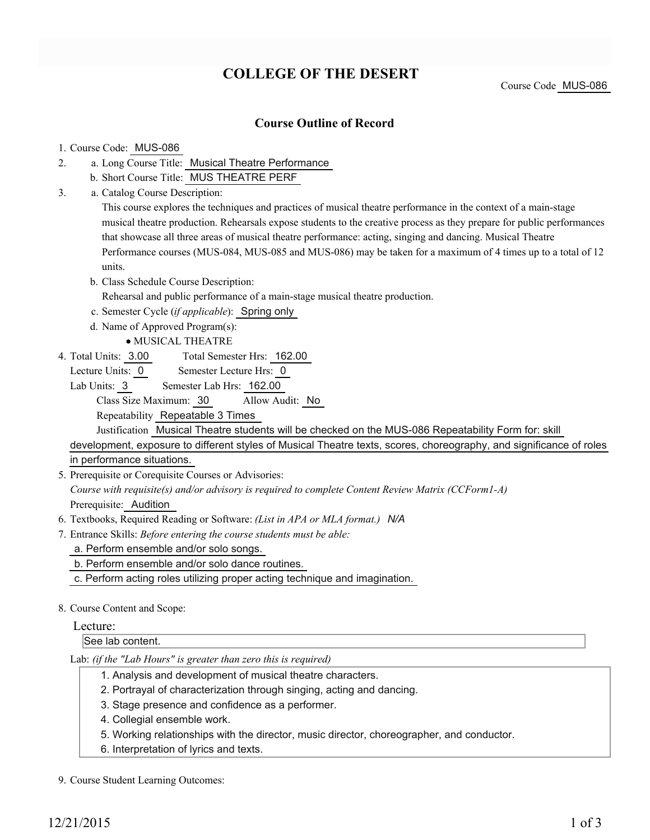# **COLLEGE OF THE DESERT**

Course Code MUS-086

### **Course Outline of Record**

#### 1. Course Code: MUS-086

- a. Long Course Title: Musical Theatre Performance 2.
	- b. Short Course Title: MUS THEATRE PERF
- Catalog Course Description: a. 3.

This course explores the techniques and practices of musical theatre performance in the context of a main-stage musical theatre production. Rehearsals expose students to the creative process as they prepare for public performances that showcase all three areas of musical theatre performance: acting, singing and dancing. Musical Theatre Performance courses (MUS-084, MUS-085 and MUS-086) may be taken for a maximum of 4 times up to a total of 12 units.

b. Class Schedule Course Description: Rehearsal and public performance of a main-stage musical theatre production.

c. Semester Cycle (*if applicable*): Spring only

d. Name of Approved Program(s):

MUSICAL THEATRE

Total Semester Hrs: 162.00 4. Total Units: 3.00

Lecture Units: 0 Semester Lecture Hrs: 0

Lab Units: 3 Semester Lab Hrs: 162.00 Class Size Maximum: 30 Allow Audit: No

Repeatability Repeatable 3 Times

Justification Musical Theatre students will be checked on the MUS-086 Repeatability Form for: skill

development, exposure to different styles of Musical Theatre texts, scores, choreography, and significance of roles in performance situations.

5. Prerequisite or Corequisite Courses or Advisories:

*Course with requisite(s) and/or advisory is required to complete Content Review Matrix (CCForm1-A)* Prerequisite: Audition

- 6. Textbooks, Required Reading or Software: *(List in APA or MLA format.) N/A*
- Entrance Skills: *Before entering the course students must be able:* 7.

a. Perform ensemble and/or solo songs.

- b. Perform ensemble and/or solo dance routines.
- c. Perform acting roles utilizing proper acting technique and imagination.
- 8. Course Content and Scope:

### Lecture:

See lab content.

Lab: *(if the "Lab Hours" is greater than zero this is required)*

- 1. Analysis and development of musical theatre characters.
- 2. Portrayal of characterization through singing, acting and dancing.
- 3. Stage presence and confidence as a performer.
- 4. Collegial ensemble work.
- 5. Working relationships with the director, music director, choreographer, and conductor.
- 6. Interpretation of lyrics and texts.

#### 9. Course Student Learning Outcomes: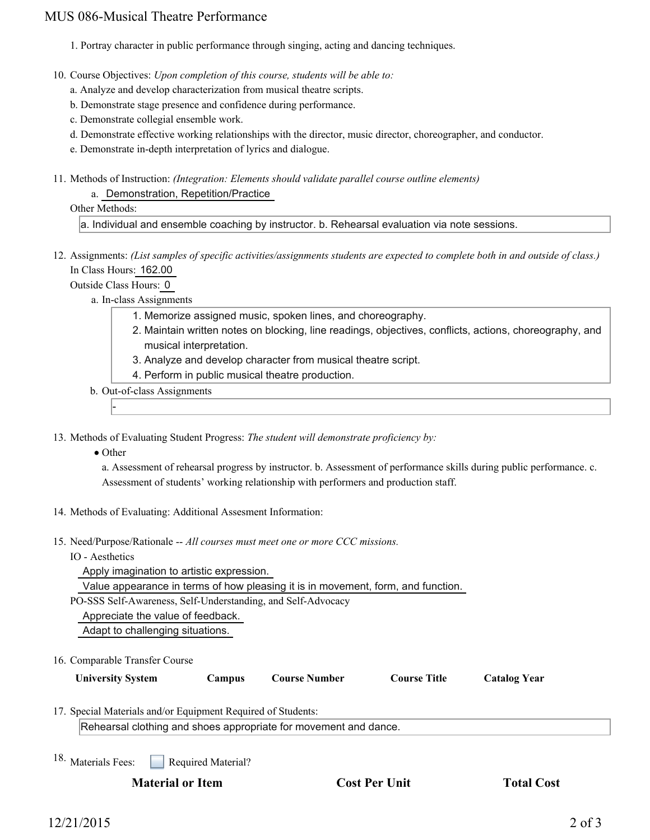## MUS 086-Musical Theatre Performance

- 1. Portray character in public performance through singing, acting and dancing techniques.
- 10. Course Objectives: Upon completion of this course, students will be able to:
	- a. Analyze and develop characterization from musical theatre scripts.
	- b. Demonstrate stage presence and confidence during performance.
	- c. Demonstrate collegial ensemble work.
	- d. Demonstrate effective working relationships with the director, music director, choreographer, and conductor.
	- e. Demonstrate in-depth interpretation of lyrics and dialogue.
- 11. Methods of Instruction: *(Integration: Elements should validate parallel course outline elements)* 
	- a. Demonstration, Repetition/Practice

#### Other Methods:

a. Individual and ensemble coaching by instructor. b. Rehearsal evaluation via note sessions.

12. Assignments: (List samples of specific activities/assignments students are expected to complete both in and outside of class.) In Class Hours: 162.00

Outside Class Hours: 0

- a. In-class Assignments
	- 1. Memorize assigned music, spoken lines, and choreography.
	- 2. Maintain written notes on blocking, line readings, objectives, conflicts, actions, choreography, and musical interpretation.
	- 3. Analyze and develop character from musical theatre script.
	- 4. Perform in public musical theatre production.
- b. Out-of-class Assignments
- 13. Methods of Evaluating Student Progress: The student will demonstrate proficiency by:
	- Other

-

a. Assessment of rehearsal progress by instructor. b. Assessment of performance skills during public performance. c. Assessment of students' working relationship with performers and production staff.

- 14. Methods of Evaluating: Additional Assesment Information:
- 15. Need/Purpose/Rationale -- All courses must meet one or more CCC missions.
	- IO Aesthetics

Apply imagination to artistic expression.

Value appearance in terms of how pleasing it is in movement, form, and function.

PO-SSS Self-Awareness, Self-Understanding, and Self-Advocacy

Appreciate the value of feedback.

Adapt to challenging situations.

16. Comparable Transfer Course

| <b>University System</b> | Campus | Course Number | <b>Course Title</b> | <b>Catalog Year</b> |
|--------------------------|--------|---------------|---------------------|---------------------|
|                          |        |               |                     |                     |

17. Special Materials and/or Equipment Required of Students:

Rehearsal clothing and shoes appropriate for movement and dance.

Required Material? 18. Materials Fees:

**Material or Item Cost Per Unit Total Cost Cost Per Unit Cost**